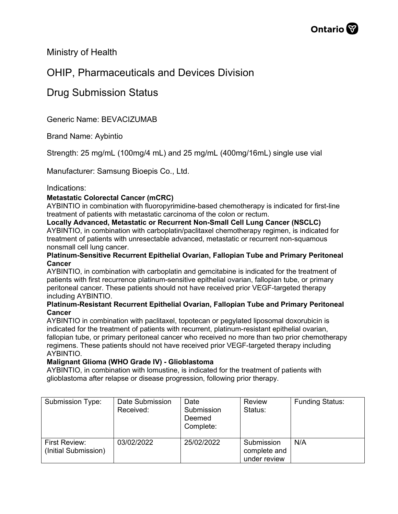Ministry of Health

## OHIP, Pharmaceuticals and Devices Division

### Drug Submission Status

Generic Name: BEVACIZUMAB

Brand Name: Aybintio

Strength: 25 mg/mL (100mg/4 mL) and 25 mg/mL (400mg/16mL) single use vial

Manufacturer: Samsung Bioepis Co., Ltd.

#### Indications:

#### **Metastatic Colorectal Cancer (mCRC)**

AYBINTIO in combination with fluoropyrimidine-based chemotherapy is indicated for first-line treatment of patients with metastatic carcinoma of the colon or rectum.

**Locally Advanced, Metastatic or Recurrent Non-Small Cell Lung Cancer (NSCLC)**  AYBINTIO, in combination with carboplatin/paclitaxel chemotherapy regimen, is indicated for treatment of patients with unresectable advanced, metastatic or recurrent non-squamous nonsmall cell lung cancer.

#### **Platinum-Sensitive Recurrent Epithelial Ovarian, Fallopian Tube and Primary Peritoneal Cancer**

AYBINTIO, in combination with carboplatin and gemcitabine is indicated for the treatment of patients with first recurrence platinum-sensitive epithelial ovarian, fallopian tube, or primary peritoneal cancer. These patients should not have received prior VEGF-targeted therapy including AYBINTIO.

#### **Platinum-Resistant Recurrent Epithelial Ovarian, Fallopian Tube and Primary Peritoneal Cancer**

AYBINTIO in combination with paclitaxel, topotecan or pegylated liposomal doxorubicin is indicated for the treatment of patients with recurrent, platinum-resistant epithelial ovarian, fallopian tube, or primary peritoneal cancer who received no more than two prior chemotherapy regimens. These patients should not have received prior VEGF-targeted therapy including AYBINTIO.

#### **Malignant Glioma (WHO Grade IV) - Glioblastoma**

AYBINTIO, in combination with lomustine, is indicated for the treatment of patients with glioblastoma after relapse or disease progression, following prior therapy.

| Submission Type:                      | Date Submission<br>Received: | Date<br>Submission<br>Deemed<br>Complete: | <b>Review</b><br>Status:                   | <b>Funding Status:</b> |
|---------------------------------------|------------------------------|-------------------------------------------|--------------------------------------------|------------------------|
| First Review:<br>(Initial Submission) | 03/02/2022                   | 25/02/2022                                | Submission<br>complete and<br>under review | N/A                    |